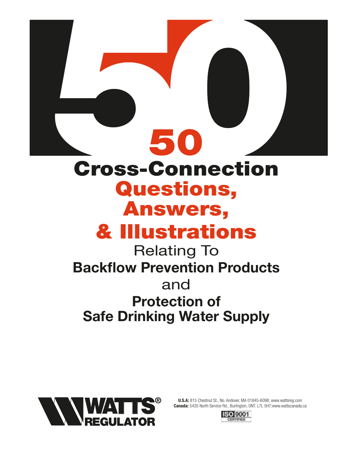

Relating To **Backflow Prevention Products** and **Protection of Safe Drinking Water Supply**



**U.S.A:** 815 Chestnut St., No. Andover, MA 01845-6098; www.wattsreg.com **Canada:** 5435 North Service Rd., Burlington, ONT. L7L 5H7;www.wattscanada.ca

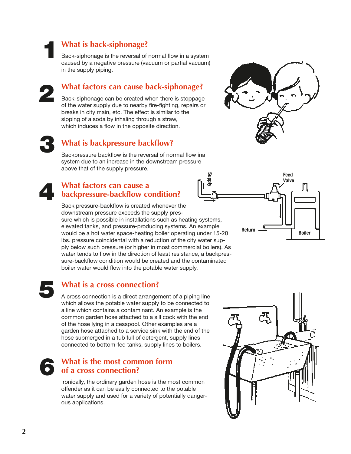**1**

**2**

# **What is back-siphonage?**

Back-siphonage is the reversal of normal flow in a system caused by a negative pressure (vacuum or partial vacuum) in the supply piping.

# **What factors can cause back-siphonage?**

Back-siphonage can be created when there is stoppage of the water supply due to nearby fire-fighting, repairs or breaks in city main, etc. The effect is similar to the sipping of a soda by inhaling through a straw, which induces a flow in the opposite direction.

**3**

# **What is backpressure backflow?**

Backpressure backflow is the reversal of normal flow ina system due to an increase in the downstream pressure above that of the supply pressure.

# **What factors can cause a backpressure-backflow condition? 4**

Back pressure-backflow is created whenever the downstream pressure exceeds the supply pressure which is possible in installations such as heating systems, elevated tanks, and pressure-producing systems. An example would be a hot water space-heating boiler operating under 15-20 lbs. pressure coincidental with a reduction of the city water supply below such pressure (or higher in most commercial boilers). As water tends to flow in the direction of least resistance, a backpressure-backflow condition would be created and the contaminated boiler water would flow into the potable water supply.



# **What is a cross connection?**

A cross connection is a direct arrangement of a piping line which allows the potable water supply to be connected to a line which contains a contaminant. An example is the common garden hose attached to a sill cock with the end of the hose lying in a cesspool. Other examples are a garden hose attached to a service sink with the end of the hose submerged in a tub full of detergent, supply lines connected to bottom-fed tanks, supply lines to boilers.

# **What is the most common form of a cross connection? 6**

Ironically, the ordinary garden hose is the most common offender as it can be easily connected to the potable water supply and used for a variety of potentially dangerous applications.





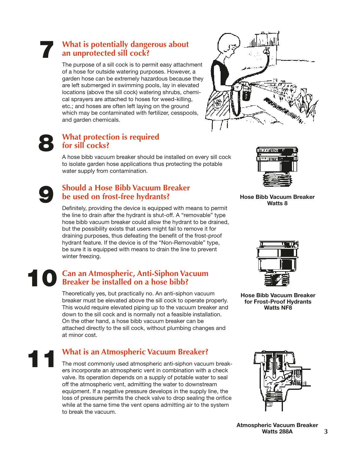# **What is potentially dangerous about an unprotected sill cock? 7**

The purpose of a sill cock is to permit easy attachment of a hose for outside watering purposes. However, a garden hose can be extremely hazardous because they are left submerged in swimming pools, lay in elevated locations (above the sill cock) watering shrubs, chemical sprayers are attached to hoses for weed-killing, etc.; and hoses are often left laying on the ground which may be contaminated with fertilizer, cesspools, and garden chemicals.



# **8**

# **What protection is required for sill cocks?**

A hose bibb vacuum breaker should be installed on every sill cock to isolate garden hose applications thus protecting the potable water supply from contamination.

# **Should a Hose Bibb Vacuum Breaker be used on frost-free hydrants? 9**

Definitely, providing the device is equipped with means to permit the line to drain after the hydrant is shut-off. A "removable" type hose bibb vacuum breaker could allow the hydrant to be drained, but the possibility exists that users might fail to remove it for draining purposes, thus defeating the benefit of the frost-proof hydrant feature. If the device is of the "Non-Removable" type, be sure it is equipped with means to drain the line to prevent winter freezing.

## **Can an Atmospheric, Anti-Siphon Vacuum Breaker be installed on a hose bibb? 10**

Theoretically yes, but practically no. An anti-siphon vacuum breaker must be elevated above the sill cock to operate properly. This would require elevated piping up to the vacuum breaker and down to the sill cock and is normally not a feasible installation. On the other hand, a hose bibb vacuum breaker can be attached directly to the sill cock, without plumbing changes and at minor cost.

# **What is an Atmospheric Vacuum Breaker? 11**

The most commonly used atmospheric anti-siphon vacuum breakers incorporate an atmospheric vent in combination with a check valve. Its operation depends on a supply of potable water to seal off the atmospheric vent, admitting the water to downstream equipment. If a negative pressure develops in the supply line, the loss of pressure permits the check valve to drop sealing the orifice while at the same time the vent opens admitting air to the system to break the vacuum.



**Hose Bibb Vacuum Breaker Watts 8**



**Hose Bibb Vacuum Breaker for Frost-Proof Hydrants Watts NF8**



**3 Atmospheric Vacuum Breaker Watts 288A**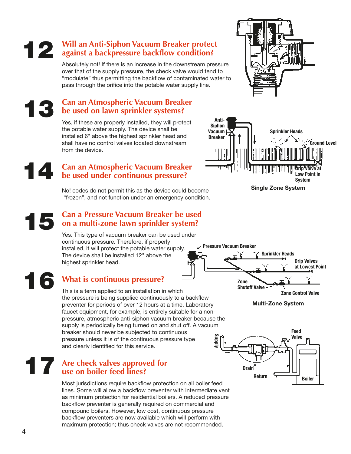#### installed 6" above the highest sprinkler head and shall have no control valves located downstream

from the device.

**Can an Atmospheric Vacuum Breaker be used under continuous pressure? 14**

> No! codes do not permit this as the device could become "frozen", and not function under an emergency condition.

# **Can a Pressure Vacuum Breaker be used on a multi-zone lawn sprinkler system? 15**

Yes. This type of vacuum breaker can be used under continuous pressure. Therefore, if properly installed, it will protect the potable water supply. The device shall be installed 12" above the highest sprinkler head.

**16**

**13**

# **What is continuous pressure?**

This is a term applied to an installation in which the pressure is being supplied continuously to a backflow preventer for periods of over 12 hours at a time. Laboratory faucet equipment, for example, is entirely suitable for a nonpressure, atmospheric anti-siphon vacuum breaker because the supply is periodically being turned on and shut off. A vacuum breaker should never be subjected to continuous pressure unless it is of the continuous pressure type and clearly identified for this service. **Supply**

# **Are check valves approved for 1778 The Same Strategier of Strategier Contracts and Strategier Contracts approvent to the Strategier of the Strategier of the Strategier of the Strategier of the Strategier of the Strategier of the Strategier of the Stra**

Most jurisdictions require backflow protection on all boiler feed lines. Some will allow a backflow preventer with intermediate vent as minimum protection for residential boilers. A reduced pressure backflow preventer is generally required on commercial and compound boilers. However, low cost, continuous pressure backflow preventers are now available which will perform with maximum protection; thus check valves are not recommended.







**Multi-Zone System**





**Can an Atmospheric Vacuum Breaker be used on lawn sprinkler systems?**

Yes, if these are properly installed, they will protect the potable water supply. The device shall be

Absolutely not! If there is an increase in the downstream pressure over that of the supply pressure, the check valve would tend to "modulate" thus permitting the backflow of contaminated water to pass through the orifice into the potable water supply line.

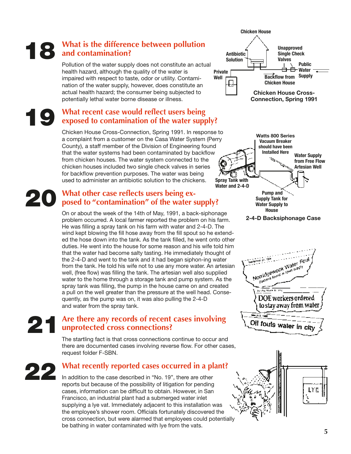# **What is the difference between pollution and contamination? 18**

Pollution of the water supply does not constitute an actual health hazard, although the quality of the water is impaired with respect to taste, odor or utility. Contamination of the water supply, however, does constitute an actual health hazard; the consumer being subjected to potentially lethal water borne disease or illness.

# **What recent case would reflect users being exposed to contamination of the water supply? 19**

Chicken House Cross-Connection, Spring 1991. In response to a complaint from a customer on the Casa Water System (Perry County), a staff member of the Division of Engineering found that the water systems had been contaminated by backflow from chicken houses. The water system connected to the chicken houses included two single check valves in series for backflow prevention purposes. The water was being used to administer an antibiotic solution to the chickens.

# **20** What other case reflects users being exposed to "contamination" of the water s **posed to "contamination" of the water supply?**

On or about the week of the 14th of May, 1991, a back-siphonage problem occurred. A local farmer reported the problem on his farm. He was filling a spray tank on his farm with water and 2-4-D. The wind kept blowing the fill hose away from the fill spout so he extended the hose down into the tank. As the tank filled, he went onto other duties. He went into the house for some reason and his wife told him that the water had become salty tasting. He immediately thought of the 2-4-D and went to the tank and it had began siphon-ing water from the tank. He told his wife not to use any more water. An artesian well, (free flow) was filling the tank. The artesian well also supplied water to the home through a storage tank and pump system. As the spray tank was filling, the pump in the house came on and created a pull on the well greater than the pressure at the well head. Consequently, as the pump was on, it was also pulling the 2-4-D and water from the spray tank.

# **Are there any records of recent cases involving unprotected cross connections? 21**

The startling fact is that cross connections continue to occur and there are documented cases involving reverse flow. For other cases, request folder F-SBN.

# **What recently reported cases occurred in a plant?**

**22**

In addition to the case described in "No. 19", there are other reports but because of the possibility of litigation for pending cases, information can be difficult to obtain. However, in San Francisco, an industrial plant had a submerged water inlet supplying a lye vat. Immediately adjacent to this installation was the employee's shower room. Officials fortunately discovered the cross connection, but were alarmed that employees could potentially be bathing in water contaminated with lye from the vats.









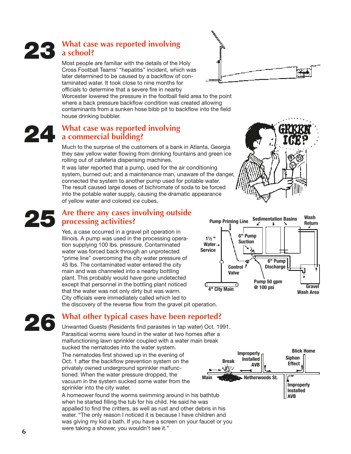# **What case was reported involving a school? 23**

Most people are familiar with the details of the Holy Cross Football Teams' "hepatitis" incident, which was later determined to be caused by a backflow of contaminated water. It took close to nine months for officials to determine that a severe fire in nearby

Worcester lowered the pressure in the football field area to the point where a back pressure backflow condition was created allowing contaminants from a sunken hose bibb pit to backflow into the field house drinking bubbler.

#### **What case was reported involving a commercial building? 24**

Much to the surprise of the customers of a bank in Atlanta, Georgia they saw yellow water flowing from drinking fountains and green ice rolling out of cafeteria dispensing machines.

It was later reported that a pump, used for the air conditioning system, burned out; and a maintenance man, unaware of the danger, connected the system to another pump used for potable water. The result caused large doses of bichromate of soda to be forced into the potable water supply, causing the dramatic appearance of yellow water and colored ice cubes.

# **Are there any cases involving outside processing activities? 25**

Yes, a case occurred in a gravel pit operation in Illinois. A pump was used in the processing operation supplying 100 lbs. pressure. Contaminated water was forced back through an unprotected "prime line" overcoming the city water pressure of 45 lbs. The contaminated water entered the city main and was channeled into a nearby bottling plant. This probably would have gone undetected except that personnel in the bottling plant noticed that the water was not only dirty but was warm. City officials were immediately called which led to the discovery of the reverse flow from the gravel pit operation.



**26** Unwanted Guests (Residents find parasites in tap water) Oct. 19 Parasitical worms were found in the water at two homes after a Unwanted Guests (Residents find parasites in tap water) Oct. 1991. Parasitical worms were found in the water at two homes after a malfunctioning lawn sprinkler coupled with a water main break sucked the nematodes into the water system.

The nematodes first showed up in the evening of Oct. 1 after the backflow prevention system on the privately owned underground sprinkler malfunctioned. When the water pressure dropped, the vacuum in the system sucked some water from the sprinkler into the city water.

A homeower found the worms swimming around in his bathtub when he started filling the tub for his child. He said he was appalled to find the critters, as well as rust and other debris in his water. "The only reason I noticed it is because I have children and was giving my kid a bath. If you have a screen on your faucet or you were taking a shower, you wouldn't see it."



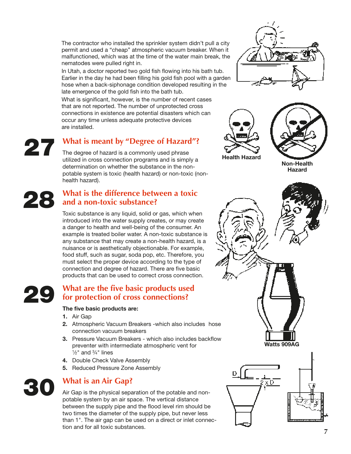The contractor who installed the sprinkler system didn't pull a city permit and used a "cheap" atmospheric vacuum breaker. When it malfunctioned, which was at the time of the water main break, the nematodes were pulled right in.

In Utah, a doctor reported two gold fish flowing into his bath tub. Earlier in the day he had been filling his gold fish pool with a garden hose when a back-siphonage condition developed resulting in the late emergence of the gold fish into the bath tub.

What is significant, however, is the number of recent cases that are not reported. The number of unprotected cross connections in existence are potential disasters which can occur any time unless adequate protective devices are installed.

# **What is meant by "Degree of Hazard"? 27**

The degree of hazard is a commonly used phrase utilized in cross connection programs and is simply a determination on whether the substance in the nonpotable system is toxic (health hazard) or non-toxic (nonhealth hazard).

# **What is the difference between a toxic and a non-toxic substance? 28**

Toxic substance is any liquid, solid or gas, which when introduced into the water supply creates, or may create a danger to health and well-being of the consumer. An example is treated boiler water. A non-toxic substance is any substance that may create a non-health hazard, is a nuisance or is aesthetically objectionable. For example, food stuff, such as sugar, soda pop, etc. Therefore, you must select the proper device according to the type of connection and degree of hazard. There are five basic products that can be used to correct cross connection.

# **What are the five basic products used for protection of cross connections? 29**

#### The five basic products are:

- **1.** Air Gap
- **2.** Atmospheric Vacuum Breakers -which also includes hose connection vacuum breakers
- **3.** Pressure Vacuum Breakers which also includes backflow preventer with intermediate atmospheric vent for  $\frac{1}{2}$ " and  $\frac{3}{4}$ " lines
- **4.** Double Check Valve Assembly
- **5.** Reduced Pressure Zone Assembly



# **What is an Air Gap?**

Air Gap is the physical separation of the potable and nonpotable system by an air space. The vertical distance between the supply pipe and the flood level rim should be two times the diameter of the supply pipe, but never less than 1". The air gap can be used on a direct or inlet connection and for all toxic substances.







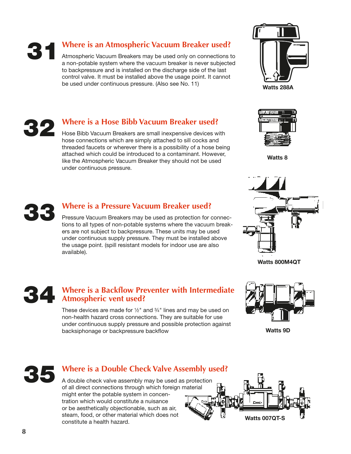**31**

# **Where is an Atmospheric Vacuum Breaker used?**

Atmospheric Vacuum Breakers may be used only on connections to a non-potable system where the vacuum breaker is never subjected to backpressure and is installed on the discharge side of the last control valve. It must be installed above the usage point. It cannot be used under continuous pressure. (Also see No. 11)





# **Where is a Hose Bibb Vacuum Breaker used?**

Hose Bibb Vacuum Breakers are small inexpensive devices with hose connections which are simply attached to sill cocks and threaded faucets or wherever there is a possibility of a hose being attached which could be introduced to a contaminant. However, like the Atmospheric Vacuum Breaker they should not be used under continuous pressure.



**Watts 8**



# **Where is a Pressure Vacuum Breaker used?**

Pressure Vacuum Breakers may be used as protection for connections to all types of non-potable systems where the vacuum breakers are not subject to backpressure. These units may be used under continuous supply pressure. They must be installed above the usage point. (spill resistant models for indoor use are also available).



**Watts 800M4QT**

### **Where is a Backflow Preventer with Intermediate Atmospheric vent used? 34**

These devices are made for  $\frac{1}{2}$ " and  $\frac{3}{4}$ " lines and may be used on non-health hazard cross connections. They are suitable for use under continuous supply pressure and possible protection against backsiphonage or backpressure backflow



**Watts 9D**



# **Where is a Double Check Valve Assembly used?**

A double check valve assembly may be used as protection of all direct connections through which foreign material might enter the potable system in concentration which would constitute a nuisance or be aesthetically objectionable, such as air, steam, food, or other material which does not constitute a health hazard.

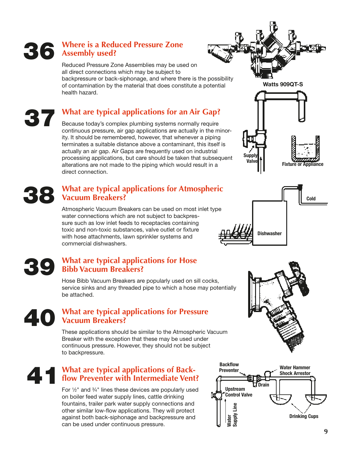# **Where is a Reduced Pressure Zone Assembly used? 36**

health hazard.

**37**

Reduced Pressure Zone Assemblies may be used on all direct connections which may be subject to backpressure or back-siphonage, and where there is the possibility of contamination by the material that does constitute a potential

# **What are typical applications for an Air Gap?**

Because today's complex plumbing systems normally require continuous pressure, air gap applications are actually in the minority. It should be remembered, however, that whenever a piping terminates a suitable distance above a contaminant, this itself is actually an air gap. Air Gaps are frequently used on industrial processing applications, but care should be taken that subsequent alterations are not made to the piping which would result in a direct connection.

# **What are typical applications for Atmospheric Vacuum Breakers? 38**

Atmospheric Vacuum Breakers can be used on most inlet type water connections which are not subject to backpressure such as low inlet feeds to receptacles containing toxic and non-toxic substances, valve outlet or fixture with hose attachments, lawn sprinkler systems and commercial dishwashers.

#### **What are typical applications for Hose Bibb Vacuum Breakers? 39**

Hose Bibb Vacuum Breakers are popularly used on sill cocks, service sinks and any threaded pipe to which a hose may potentially be attached.

# **What are typical applications for Pressure Vacuum Breakers? 40**

These applications should be similar to the Atmospheric Vacuum Breaker with the exception that these may be used under continuous pressure. However, they should not be subject to backpressure.

# **What are typical applications of Backfl ow Preventer with Intermediate Vent? 41**

For  $\frac{1}{2}$ " and  $\frac{3}{4}$ " lines these devices are popularly used on boiler feed water supply lines, cattle drinking fountains, trailer park water supply connections and other similar low-flow applications. They will protect against both back-siphonage and backpressure and can be used under continuous pressure.









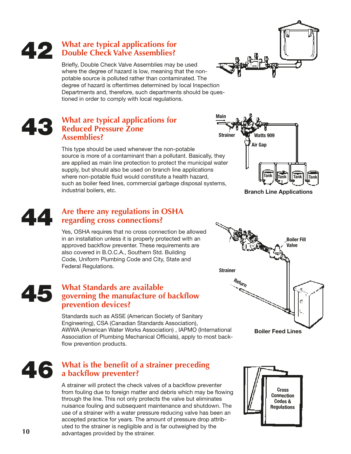# **What are typical applications for Double Check Valve Assemblies? 42**

Briefly, Double Check Valve Assemblies may be used where the degree of hazard is low, meaning that the nonpotable source is polluted rather than contaminated. The degree of hazard is oftentimes determined by local Inspection Departments and, therefore, such departments should be questioned in order to comply with local regulations.

#### **What are typical applications for Reduced Pressure Zone Assemblies? 43**

This type should be used whenever the non-potable source is more of a contaminant than a pollutant. Basically, they are applied as main line protection to protect the municipal water supply, but should also be used on branch line applications where non-potable fluid would constitute a health hazard, such as boiler feed lines, commercial garbage disposal systems, industrial boilers, etc.

#### **Are there any regulations in OSHA regarding cross connections? 44**

Yes, OSHA requires that no cross connection be allowed in an installation unless it is properly protected with an approved backflow preventer. These requirements are also covered in B.O.C.A., Southern Std. Building Code, Uniform Plumbing Code and City, State and Federal Regulations.

#### **What Standards are available**  governing the manufacture of backflow **prevention devices? 45**

Standards such as ASSE (American Society of Sanitary Engineering), CSA (Canadian Standards Association), AWWA (American Water Works Association) , IAPMO (International Association of Plumbing Mechanical Officials), apply to most backflow prevention products.

# **What is the benefit of a strainer preceding a backfl ow preventer? 46**

A strainer will protect the check valves of a backflow preventer from fouling due to foreign matter and debris which may be flowing through the line. This not only protects the valve but eliminates nuisance fouling and subsequent maintenance and shutdown. The use of a strainer with a water pressure reducing valve has been an accepted practice for years. The amount of pressure drop attributed to the strainer is negligible and is far outweighed by the advantages provided by the strainer.



**Boiler Feed Lines**





**Main**

**Strainer Watts 909**

**Air Gap**

**Branch Line Applications**

**Tank Tank Tank Tank**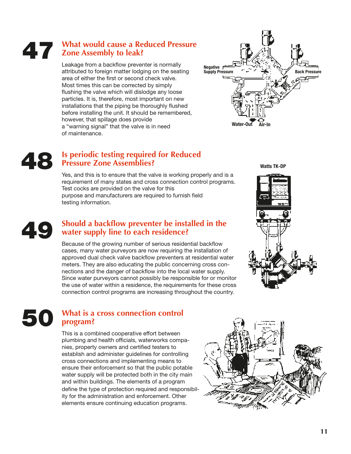# **What would cause a Reduced Pressure Zone Assembly to leak? 47**

Leakage from a backflow preventer is normally attributed to foreign matter lodging on the seating area of either the first or second check valve. Most times this can be corrected by simply flushing the valve which will dislodge any loose particles. It is, therefore, most important on new installations that the piping be thoroughly flushed before installing the unit. It should be remembered, however, that spillage does provide a "warning signal" that the valve is in need of maintenance.



# **Is periodic testing required for Reduced Pressure Zone Assemblies? 48**

Yes, and this is to ensure that the valve is working properly and is a requirement of many states and cross connection control programs. Test cocks are provided on the valve for this purpose and manufacturers are required to furnish field testing information.

#### **Should a backflow preventer be installed in the water supply line to each residence? 49**

Because of the growing number of serious residential backflow cases, many water purveyors are now requiring the installation of approved dual check valve backflow preventers at residential water meters. They are also educating the public concerning cross connections and the danger of backflow into the local water supply. Since water purveyors cannot possibly be responsible for or monitor the use of water within a residence, the requirements for these cross connection control programs are increasing throughout the country.

# **What is a cross connection control program? 50**

This is a combined cooperative effort between plumbing and health officials, waterworks companies, property owners and certified testers to establish and administer guidelines for controlling cross connections and implementing means to ensure their enforcement so that the public potable water supply will be protected both in the city main and within buildings. The elements of a program define the type of protection required and responsibility for the administration and enforcement. Other elements ensure continuing education programs.

**Watts TK-DP**